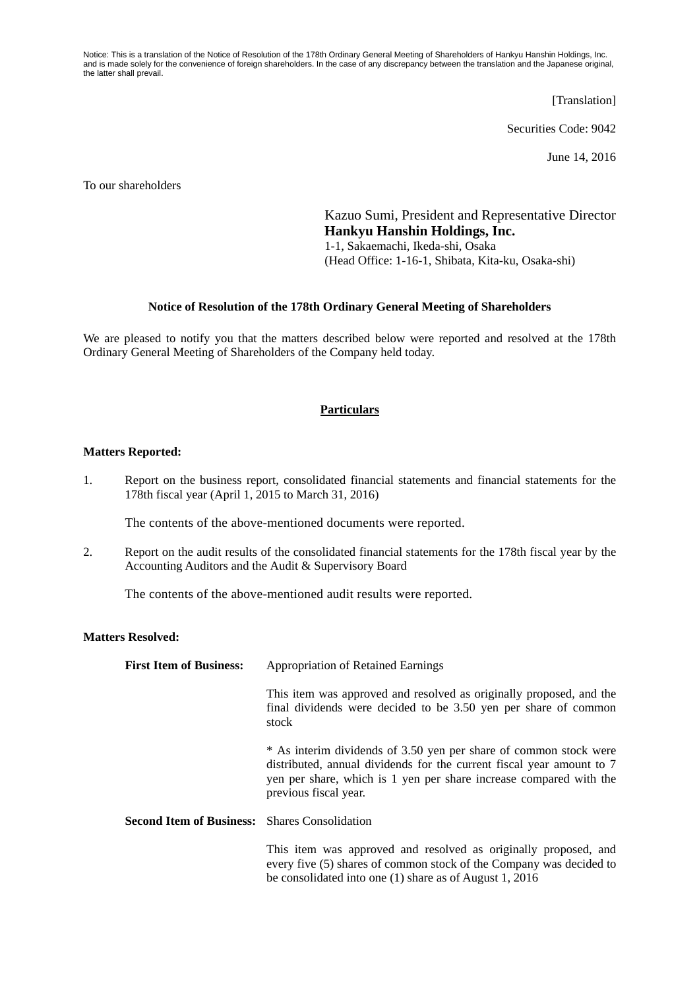Notice: This is a translation of the Notice of Resolution of the 178th Ordinary General Meeting of Shareholders of Hankyu Hanshin Holdings, Inc. and is made solely for the convenience of foreign shareholders. In the case of any discrepancy between the translation and the Japanese original, the latter shall prevail.

[Translation]

Securities Code: 9042

June 14, 2016

To our shareholders

Kazuo Sumi, President and Representative Director **Hankyu Hanshin Holdings, Inc.**  1-1, Sakaemachi, Ikeda-shi, Osaka (Head Office: 1-16-1, Shibata, Kita-ku, Osaka-shi)

## **Notice of Resolution of the 178th Ordinary General Meeting of Shareholders**

We are pleased to notify you that the matters described below were reported and resolved at the 178th Ordinary General Meeting of Shareholders of the Company held today.

## **Particulars**

## **Matters Reported:**

1. Report on the business report, consolidated financial statements and financial statements for the 178th fiscal year (April 1, 2015 to March 31, 2016)

The contents of the above-mentioned documents were reported.

2. Report on the audit results of the consolidated financial statements for the 178th fiscal year by the Accounting Auditors and the Audit & Supervisory Board

The contents of the above-mentioned audit results were reported.

## **Matters Resolved:**

| <b>First Item of Business:</b>                       | <b>Appropriation of Retained Earnings</b>                                                                                                                                                                                                 |
|------------------------------------------------------|-------------------------------------------------------------------------------------------------------------------------------------------------------------------------------------------------------------------------------------------|
|                                                      | This item was approved and resolved as originally proposed, and the<br>final dividends were decided to be 3.50 yen per share of common<br>stock                                                                                           |
|                                                      | * As interim dividends of 3.50 yen per share of common stock were<br>distributed, annual dividends for the current fiscal year amount to 7<br>yen per share, which is 1 yen per share increase compared with the<br>previous fiscal year. |
| <b>Second Item of Business:</b> Shares Consolidation |                                                                                                                                                                                                                                           |
|                                                      | This item was approved and resolved as originally proposed, and<br>every five (5) shares of common stock of the Company was decided to                                                                                                    |

be consolidated into one (1) share as of August 1, 2016